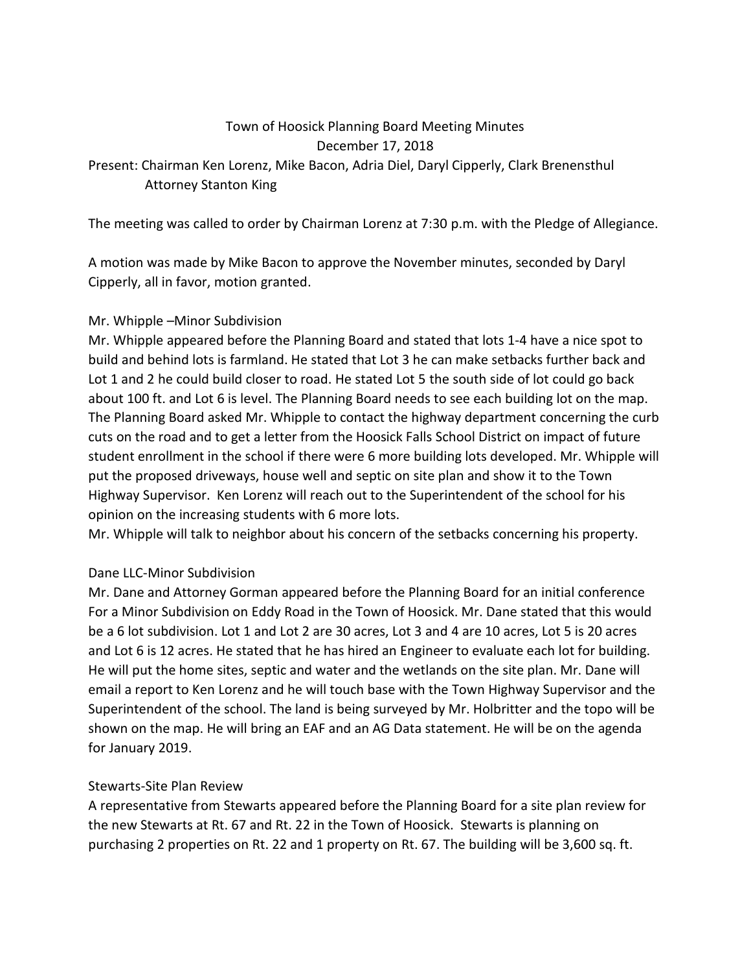### Town of Hoosick Planning Board Meeting Minutes December 17, 2018

Present: Chairman Ken Lorenz, Mike Bacon, Adria Diel, Daryl Cipperly, Clark Brenensthul Attorney Stanton King

The meeting was called to order by Chairman Lorenz at 7:30 p.m. with the Pledge of Allegiance.

A motion was made by Mike Bacon to approve the November minutes, seconded by Daryl Cipperly, all in favor, motion granted.

## Mr. Whipple –Minor Subdivision

Mr. Whipple appeared before the Planning Board and stated that lots 1-4 have a nice spot to build and behind lots is farmland. He stated that Lot 3 he can make setbacks further back and Lot 1 and 2 he could build closer to road. He stated Lot 5 the south side of lot could go back about 100 ft. and Lot 6 is level. The Planning Board needs to see each building lot on the map. The Planning Board asked Mr. Whipple to contact the highway department concerning the curb cuts on the road and to get a letter from the Hoosick Falls School District on impact of future student enrollment in the school if there were 6 more building lots developed. Mr. Whipple will put the proposed driveways, house well and septic on site plan and show it to the Town Highway Supervisor. Ken Lorenz will reach out to the Superintendent of the school for his opinion on the increasing students with 6 more lots.

Mr. Whipple will talk to neighbor about his concern of the setbacks concerning his property.

## Dane LLC-Minor Subdivision

Mr. Dane and Attorney Gorman appeared before the Planning Board for an initial conference For a Minor Subdivision on Eddy Road in the Town of Hoosick. Mr. Dane stated that this would be a 6 lot subdivision. Lot 1 and Lot 2 are 30 acres, Lot 3 and 4 are 10 acres, Lot 5 is 20 acres and Lot 6 is 12 acres. He stated that he has hired an Engineer to evaluate each lot for building. He will put the home sites, septic and water and the wetlands on the site plan. Mr. Dane will email a report to Ken Lorenz and he will touch base with the Town Highway Supervisor and the Superintendent of the school. The land is being surveyed by Mr. Holbritter and the topo will be shown on the map. He will bring an EAF and an AG Data statement. He will be on the agenda for January 2019.

## Stewarts-Site Plan Review

A representative from Stewarts appeared before the Planning Board for a site plan review for the new Stewarts at Rt. 67 and Rt. 22 in the Town of Hoosick. Stewarts is planning on purchasing 2 properties on Rt. 22 and 1 property on Rt. 67. The building will be 3,600 sq. ft.